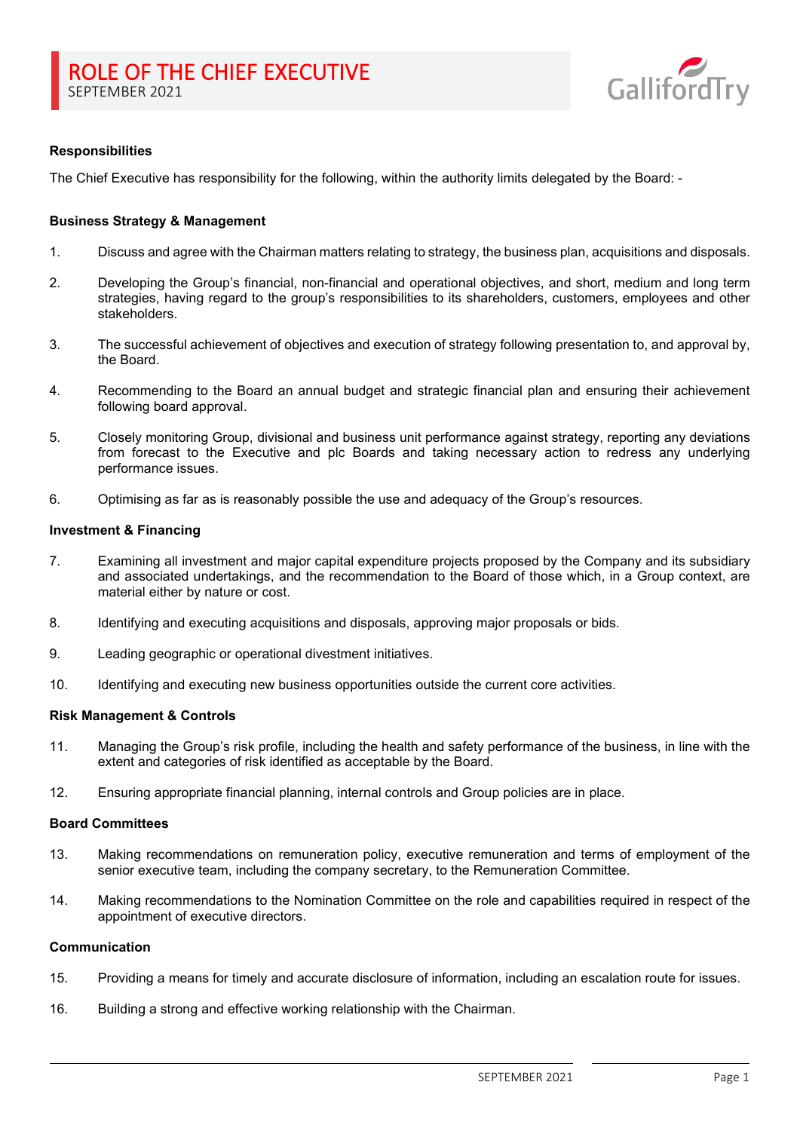

# **Responsibilities**

The Chief Executive has responsibility for the following, within the authority limits delegated by the Board: -

### **Business Strategy & Management**

- 1. Discuss and agree with the Chairman matters relating to strategy, the business plan, acquisitions and disposals.
- 2. Developing the Group's financial, non-financial and operational objectives, and short, medium and long term strategies, having regard to the group's responsibilities to its shareholders, customers, employees and other stakeholders.
- 3. The successful achievement of objectives and execution of strategy following presentation to, and approval by, the Board.
- 4. Recommending to the Board an annual budget and strategic financial plan and ensuring their achievement following board approval.
- 5. Closely monitoring Group, divisional and business unit performance against strategy, reporting any deviations from forecast to the Executive and plc Boards and taking necessary action to redress any underlying performance issues.
- 6. Optimising as far as is reasonably possible the use and adequacy of the Group's resources.

#### **Investment & Financing**

- 7. Examining all investment and major capital expenditure projects proposed by the Company and its subsidiary and associated undertakings, and the recommendation to the Board of those which, in a Group context, are material either by nature or cost.
- 8. Identifying and executing acquisitions and disposals, approving major proposals or bids.
- 9. Leading geographic or operational divestment initiatives.
- 10. Identifying and executing new business opportunities outside the current core activities.

### **Risk Management & Controls**

- 11. Managing the Group's risk profile, including the health and safety performance of the business, in line with the extent and categories of risk identified as acceptable by the Board.
- 12. Ensuring appropriate financial planning, internal controls and Group policies are in place.

#### **Board Committees**

- 13. Making recommendations on remuneration policy, executive remuneration and terms of employment of the senior executive team, including the company secretary, to the Remuneration Committee.
- 14. Making recommendations to the Nomination Committee on the role and capabilities required in respect of the appointment of executive directors.

# **Communication**

- 15. Providing a means for timely and accurate disclosure of information, including an escalation route for issues.
- 16. Building a strong and effective working relationship with the Chairman.